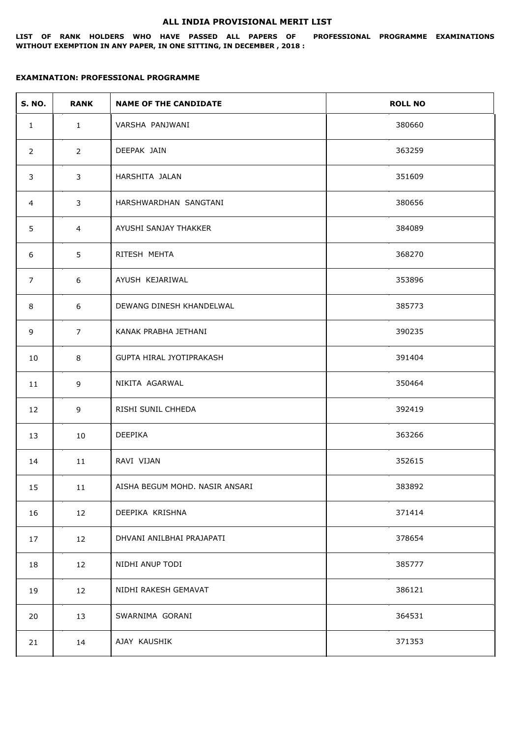## **ALL INDIA PROVISIONAL MERIT LIST**

**LIST OF RANK HOLDERS WHO HAVE PASSED ALL PAPERS OF PROFESSIONAL PROGRAMME EXAMINATIONS WITHOUT EXEMPTION IN ANY PAPER, IN ONE SITTING, IN DECEMBER , 2018 :**

## **EXAMINATION: PROFESSIONAL PROGRAMME**

| <b>S. NO.</b>  | <b>RANK</b>    | <b>NAME OF THE CANDIDATE</b>   | <b>ROLL NO</b> |
|----------------|----------------|--------------------------------|----------------|
| $\mathbf{1}$   | $\mathbf{1}$   | VARSHA PANJWANI                | 380660         |
| $\overline{2}$ | $2^{\circ}$    | DEEPAK JAIN                    | 363259         |
| 3              | 3              | HARSHITA JALAN                 | 351609         |
| $\overline{4}$ | $\mathbf{3}$   | HARSHWARDHAN SANGTANI          | 380656         |
| 5              | $\overline{4}$ | AYUSHI SANJAY THAKKER          | 384089         |
| 6              | 5              | RITESH MEHTA                   | 368270         |
| $\overline{7}$ | 6              | AYUSH KEJARIWAL                | 353896         |
| 8              | 6              | DEWANG DINESH KHANDELWAL       | 385773         |
| 9              | $\overline{7}$ | KANAK PRABHA JETHANI           | 390235         |
| 10             | 8              | GUPTA HIRAL JYOTIPRAKASH       | 391404         |
| 11             | 9              | NIKITA AGARWAL                 | 350464         |
| 12             | 9              | RISHI SUNIL CHHEDA             | 392419         |
| 13             | 10             | DEEPIKA                        | 363266         |
| 14             | 11             | RAVI VIJAN                     | 352615         |
| 15             | 11             | AISHA BEGUM MOHD. NASIR ANSARI | 383892         |
| 16             | 12             | DEEPIKA KRISHNA                | 371414         |
| 17             | 12             | DHVANI ANILBHAI PRAJAPATI      | 378654         |
| 18             | 12             | NIDHI ANUP TODI                | 385777         |
| 19             | 12             | NIDHI RAKESH GEMAVAT           | 386121         |
| 20             | 13             | SWARNIMA GORANI                | 364531         |
| 21             | 14             | AJAY KAUSHIK                   | 371353         |